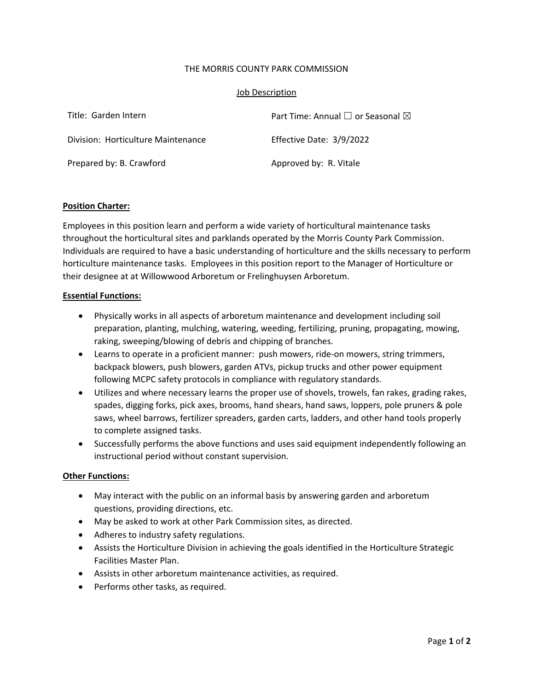# THE MORRIS COUNTY PARK COMMISSION

# Job Description

| Title: Garden Intern               | Part Time: Annual $\square$ or Seasonal $\square$ |
|------------------------------------|---------------------------------------------------|
| Division: Horticulture Maintenance | Effective Date: 3/9/2022                          |
| Prepared by: B. Crawford           | Approved by: R. Vitale                            |

### **Position Charter:**

Employees in this position learn and perform a wide variety of horticultural maintenance tasks throughout the horticultural sites and parklands operated by the Morris County Park Commission. Individuals are required to have a basic understanding of horticulture and the skills necessary to perform horticulture maintenance tasks. Employees in this position report to the Manager of Horticulture or their designee at at Willowwood Arboretum or Frelinghuysen Arboretum.

### **Essential Functions:**

- Physically works in all aspects of arboretum maintenance and development including soil preparation, planting, mulching, watering, weeding, fertilizing, pruning, propagating, mowing, raking, sweeping/blowing of debris and chipping of branches.
- Learns to operate in a proficient manner: push mowers, ride-on mowers, string trimmers, backpack blowers, push blowers, garden ATVs, pickup trucks and other power equipment following MCPC safety protocols in compliance with regulatory standards.
- Utilizes and where necessary learns the proper use of shovels, trowels, fan rakes, grading rakes, spades, digging forks, pick axes, brooms, hand shears, hand saws, loppers, pole pruners & pole saws, wheel barrows, fertilizer spreaders, garden carts, ladders, and other hand tools properly to complete assigned tasks.
- Successfully performs the above functions and uses said equipment independently following an instructional period without constant supervision.

### **Other Functions:**

- May interact with the public on an informal basis by answering garden and arboretum questions, providing directions, etc.
- May be asked to work at other Park Commission sites, as directed.
- Adheres to industry safety regulations.
- Assists the Horticulture Division in achieving the goals identified in the Horticulture Strategic Facilities Master Plan.
- Assists in other arboretum maintenance activities, as required.
- Performs other tasks, as required.